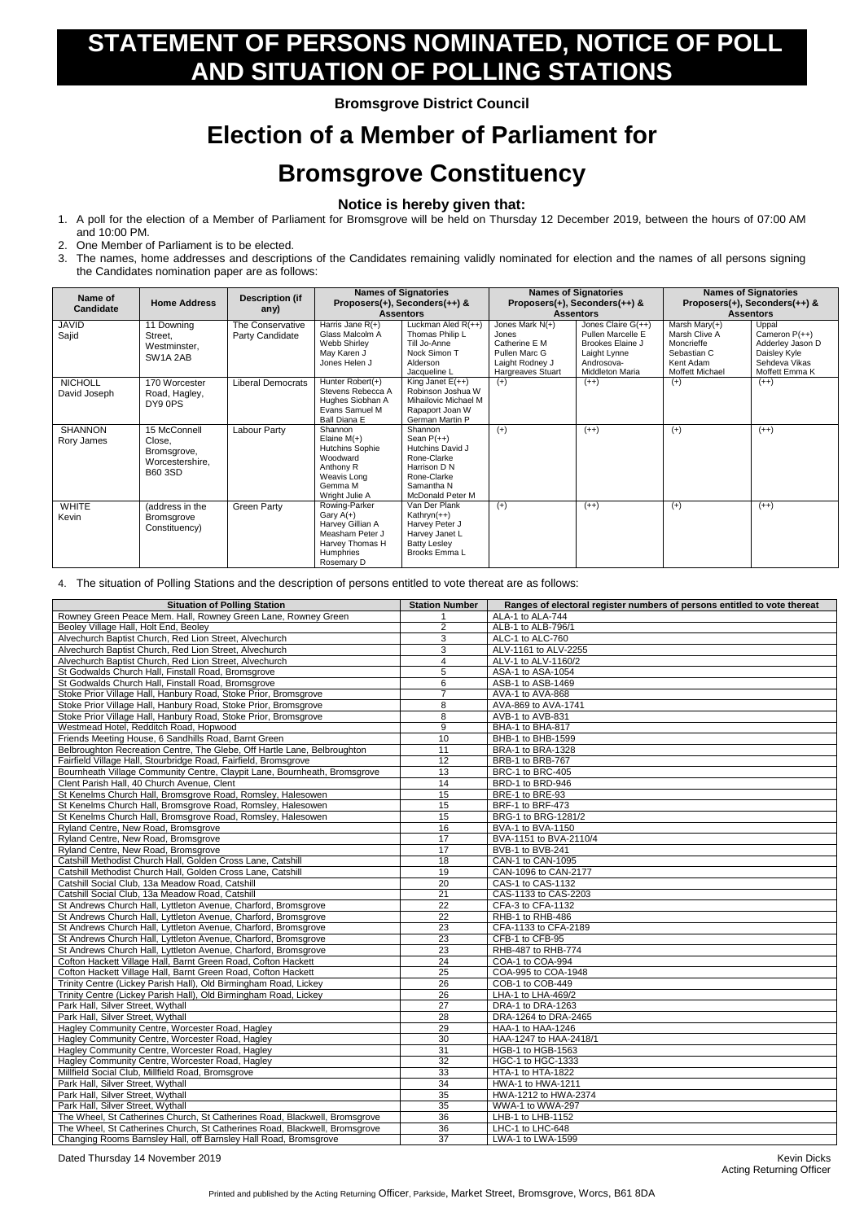Acting Returning Officer

Printed and published by the Acting Returning Officer, Parkside, Market Street, Bromsgrove, Worcs, B61 8DA

## **STATEMENT OF PERSONS NOMINATED, NOTICE OF POLL AND SITUATION OF POLLING STATIONS**

**Bromsgrove District Council**

## **Election of a Member of Parliament for Bromsgrove Constituency**

## **Notice is hereby given that:**

- 1. A poll for the election of a Member of Parliament for Bromsgrove will be held on Thursday 12 December 2019, between the hours of 07:00 AM and 10:00 PM.
- 2. One Member of Parliament is to be elected.
- 3. The names, home addresses and descriptions of the Candidates remaining validly nominated for election and the names of all persons signing the Candidates nomination paper are as follows:

| Name of<br><b>Candidate</b>    | <b>Home Address</b>                                                        | <b>Description (if</b><br>any)      | <b>Names of Signatories</b><br>Proposers(+), Seconders(++) &<br><b>Assentors</b>                                        |                                                                                                                             | <b>Names of Signatories</b><br>Proposers(+), Seconders(++) &<br><b>Assentors</b>                   |                                                                                                                       | <b>Names of Signatories</b><br>Proposers(+), Seconders(++) &<br><b>Assentors</b>                      |                                                                                                 |
|--------------------------------|----------------------------------------------------------------------------|-------------------------------------|-------------------------------------------------------------------------------------------------------------------------|-----------------------------------------------------------------------------------------------------------------------------|----------------------------------------------------------------------------------------------------|-----------------------------------------------------------------------------------------------------------------------|-------------------------------------------------------------------------------------------------------|-------------------------------------------------------------------------------------------------|
| <b>JAVID</b><br>Sajid          | 11 Downing<br>Street,<br>Westminster,<br>SW <sub>1</sub> A <sub>2</sub> AB | The Conservative<br>Party Candidate | Harris Jane $R(+)$<br>Glass Malcolm A<br>Webb Shirley<br>May Karen J<br>Jones Helen J                                   | Luckman Aled $R(++)$<br>Thomas Philip L<br>Till Jo-Anne<br>Nock Simon T<br>Alderson<br>Jacqueline L                         | Jones Mark N(+)<br>Jones<br>Catherine E M<br>Pullen Marc G<br>Laight Rodney J<br>Hargreaves Stuart | Jones Claire $G(++)$<br>Pullen Marcelle E<br>Brookes Elaine J<br>Laight Lynne<br>Androsova-<br><b>Middleton Maria</b> | Marsh Mary $(+)$<br>Marsh Clive A<br>Moncrieffe<br>Sebastian C<br>Kent Adam<br><b>Moffett Michael</b> | Uppal<br>Cameron $P(++)$<br>Adderley Jason D<br>Daisley Kyle<br>Sehdeva Vikas<br>Moffett Emma K |
| <b>NICHOLL</b><br>David Joseph | 170 Worcester<br>Road, Hagley,<br>DY9 0PS                                  | <b>Liberal Democrats</b>            | Hunter $Robert(+)$<br>Stevens Rebecca A<br>Hughes Siobhan A<br>Evans Samuel M<br>Ball Diana E                           | King Janet $E(++)$<br>Robinson Joshua W<br>Mihailovic Michael M<br>Rapaport Joan W<br>German Martin P                       | $(+)$                                                                                              | $(++)$                                                                                                                | $(+)$                                                                                                 | $(++)$                                                                                          |
| <b>SHANNON</b><br>Rory James   | 15 McConnell<br>Close,<br>Bromsgrove,<br>Worcestershire,<br><b>B60 3SD</b> | Labour Party                        | Shannon<br>Elaine $M(+)$<br><b>Hutchins Sophie</b><br>Woodward<br>Anthony R<br>Weavis Long<br>Gemma M<br>Wright Julie A | Shannon<br>Sean $P(++)$<br>Hutchins David J<br>Rone-Clarke<br>Harrison D N<br>Rone-Clarke<br>Samantha N<br>McDonald Peter M | $(+)$                                                                                              | $(++)$                                                                                                                | $(+)$                                                                                                 | $(++)$                                                                                          |
| <b>WHITE</b><br>Kevin          | (address in the<br><b>Bromsgrove</b><br>Constituency)                      | Green Party                         | Rowing-Parker<br>Gary $A(+)$<br>Harvey Gillian A<br>Measham Peter J<br>Harvey Thomas H<br>Humphries<br>Rosemary D       | Van Der Plank<br>Kathryn $(++)$<br>Harvey Peter J<br>Harvey Janet L<br><b>Batty Lesley</b><br>Brooks Emma L                 | $(+)$                                                                                              | $(++)$                                                                                                                | $(+)$                                                                                                 | $(++)$                                                                                          |

## 4. The situation of Polling Stations and the description of persons entitled to vote thereat are as follows:

| <b>Situation of Polling Station</b>                                        | <b>Station Number</b> | Ranges of electoral register numbers of persons entitled to vote thereat |
|----------------------------------------------------------------------------|-----------------------|--------------------------------------------------------------------------|
| Rowney Green Peace Mem. Hall, Rowney Green Lane, Rowney Green              |                       | ALA-1 to ALA-744                                                         |
| Beoley Village Hall, Holt End, Beoley                                      | 2                     | ALB-1 to ALB-796/1                                                       |
| Alvechurch Baptist Church, Red Lion Street, Alvechurch                     | 3                     | ALC-1 to ALC-760                                                         |
| Alvechurch Baptist Church, Red Lion Street, Alvechurch                     | 3                     | ALV-1161 to ALV-2255                                                     |
| Alvechurch Baptist Church, Red Lion Street, Alvechurch                     | 4                     | ALV-1 to ALV-1160/2                                                      |
| St Godwalds Church Hall, Finstall Road, Bromsgrove                         | 5                     | ASA-1 to ASA-1054                                                        |
| St Godwalds Church Hall, Finstall Road, Bromsgrove                         | 6                     | ASB-1 to ASB-1469                                                        |
| Stoke Prior Village Hall, Hanbury Road, Stoke Prior, Bromsgrove            | $\overline{7}$        | AVA-1 to AVA-868                                                         |
| Stoke Prior Village Hall, Hanbury Road, Stoke Prior, Bromsgrove            | 8                     | AVA-869 to AVA-1741                                                      |
| Stoke Prior Village Hall, Hanbury Road, Stoke Prior, Bromsgrove            | 8                     | AVB-1 to AVB-831                                                         |
| Westmead Hotel, Redditch Road, Hopwood                                     | $\boldsymbol{9}$      | BHA-1 to BHA-817                                                         |
| Friends Meeting House, 6 Sandhills Road, Barnt Green                       | 10                    | BHB-1 to BHB-1599                                                        |
| Belbroughton Recreation Centre, The Glebe, Off Hartle Lane, Belbroughton   | 11                    | BRA-1 to BRA-1328                                                        |
| Fairfield Village Hall, Stourbridge Road, Fairfield, Bromsgrove            | 12                    | BRB-1 to BRB-767                                                         |
| Bournheath Village Community Centre, Claypit Lane, Bournheath, Bromsgrove  | 13                    | BRC-1 to BRC-405                                                         |
| Clent Parish Hall, 40 Church Avenue, Clent                                 | 14                    | BRD-1 to BRD-946                                                         |
| St Kenelms Church Hall, Bromsgrove Road, Romsley, Halesowen                | 15                    | BRE-1 to BRE-93                                                          |
| St Kenelms Church Hall, Bromsgrove Road, Romsley, Halesowen                | $\overline{15}$       | BRF-1 to BRF-473                                                         |
| St Kenelms Church Hall, Bromsgrove Road, Romsley, Halesowen                | 15                    | BRG-1 to BRG-1281/2                                                      |
| Ryland Centre, New Road, Bromsgrove                                        | 16                    | BVA-1 to BVA-1150                                                        |
| Ryland Centre, New Road, Bromsgrove                                        | 17                    | BVA-1151 to BVA-2110/4                                                   |
| Ryland Centre, New Road, Bromsgrove                                        | 17                    | BVB-1 to BVB-241                                                         |
| Catshill Methodist Church Hall, Golden Cross Lane, Catshill                | 18                    | CAN-1 to CAN-1095                                                        |
| Catshill Methodist Church Hall, Golden Cross Lane, Catshill                | 19                    | CAN-1096 to CAN-2177                                                     |
| Catshill Social Club, 13a Meadow Road, Catshill                            | 20                    | CAS-1 to CAS-1132                                                        |
| Catshill Social Club, 13a Meadow Road, Catshill                            | 21                    | CAS-1133 to CAS-2203                                                     |
| St Andrews Church Hall, Lyttleton Avenue, Charford, Bromsgrove             | 22                    | CFA-3 to CFA-1132                                                        |
| St Andrews Church Hall, Lyttleton Avenue, Charford, Bromsgrove             | 22                    | RHB-1 to RHB-486                                                         |
| St Andrews Church Hall, Lyttleton Avenue, Charford, Bromsgrove             | 23                    | CFA-1133 to CFA-2189                                                     |
| St Andrews Church Hall, Lyttleton Avenue, Charford, Bromsgrove             | 23                    | CFB-1 to CFB-95                                                          |
| St Andrews Church Hall, Lyttleton Avenue, Charford, Bromsgrove             | 23                    | RHB-487 to RHB-774                                                       |
| Cofton Hackett Village Hall, Barnt Green Road, Cofton Hackett              | $\overline{24}$       | COA-1 to COA-994                                                         |
| Cofton Hackett Village Hall, Barnt Green Road, Cofton Hackett              | $\overline{25}$       | COA-995 to COA-1948                                                      |
| Trinity Centre (Lickey Parish Hall), Old Birmingham Road, Lickey           | 26                    | COB-1 to COB-449                                                         |
| Trinity Centre (Lickey Parish Hall), Old Birmingham Road, Lickey           | 26                    | LHA-1 to LHA-469/2                                                       |
| Park Hall, Silver Street, Wythall                                          | 27                    | DRA-1 to DRA-1263                                                        |
| Park Hall, Silver Street, Wythall                                          | 28                    | DRA-1264 to DRA-2465                                                     |
| Hagley Community Centre, Worcester Road, Hagley                            | 29                    | HAA-1 to HAA-1246                                                        |
| Hagley Community Centre, Worcester Road, Hagley                            | 30                    | HAA-1247 to HAA-2418/1                                                   |
| Hagley Community Centre, Worcester Road, Hagley                            | 31                    | HGB-1 to HGB-1563                                                        |
| Hagley Community Centre, Worcester Road, Hagley                            | 32                    | HGC-1 to HGC-1333                                                        |
| Millfield Social Club, Millfield Road, Bromsgrove                          | 33                    | HTA-1 to HTA-1822                                                        |
| Park Hall, Silver Street, Wythall                                          | 34                    | HWA-1 to HWA-1211                                                        |
| Park Hall, Silver Street, Wythall                                          | $\overline{35}$       | HWA-1212 to HWA-2374                                                     |
| Park Hall, Silver Street, Wythall                                          | 35                    | WWA-1 to WWA-297                                                         |
| The Wheel, St Catherines Church, St Catherines Road, Blackwell, Bromsgrove | 36                    | LHB-1 to LHB-1152                                                        |
| The Wheel, St Catherines Church, St Catherines Road, Blackwell, Bromsgrove | 36                    | LHC-1 to LHC-648                                                         |
| Changing Rooms Barnsley Hall, off Barnsley Hall Road, Bromsgrove           | $\overline{37}$       | LWA-1 to LWA-1599                                                        |

Dated Thursday 14 November 2019 Kevin Dicks